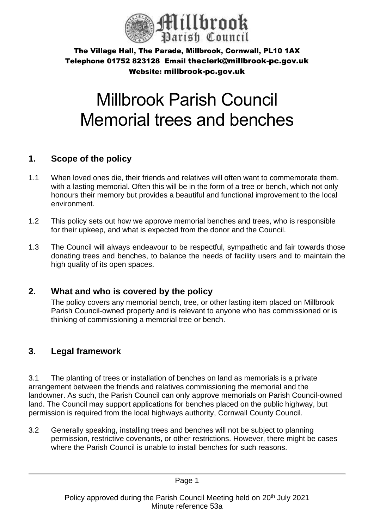

# Millbrook Parish Council Memorial trees and benches

## **1. Scope of the policy**

- 1.1 When loved ones die, their friends and relatives will often want to commemorate them. with a lasting memorial. Often this will be in the form of a tree or bench, which not only honours their memory but provides a beautiful and functional improvement to the local environment.
- 1.2 This policy sets out how we approve memorial benches and trees, who is responsible for their upkeep, and what is expected from the donor and the Council.
- 1.3 The Council will always endeavour to be respectful, sympathetic and fair towards those donating trees and benches, to balance the needs of facility users and to maintain the high quality of its open spaces.

# **2. What and who is covered by the policy**

The policy covers any memorial bench, tree, or other lasting item placed on Millbrook Parish Council-owned property and is relevant to anyone who has commissioned or is thinking of commissioning a memorial tree or bench.

# **3. Legal framework**

3.1 The planting of trees or installation of benches on land as memorials is a private arrangement between the friends and relatives commissioning the memorial and the landowner. As such, the Parish Council can only approve memorials on Parish Council-owned land. The Council may support applications for benches placed on the public highway, but permission is required from the local highways authority, Cornwall County Council.

3.2 Generally speaking, installing trees and benches will not be subject to planning permission, restrictive covenants, or other restrictions. However, there might be cases where the Parish Council is unable to install benches for such reasons.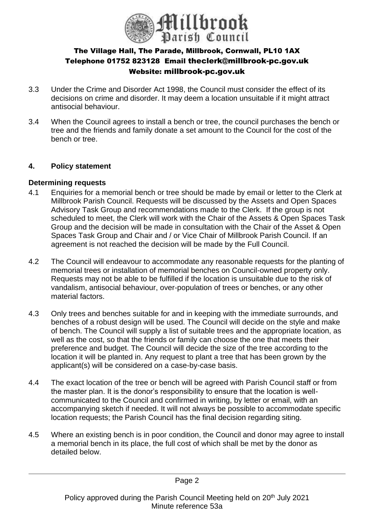

- 3.3 Under the Crime and Disorder Act 1998, the Council must consider the effect of its decisions on crime and disorder. It may deem a location unsuitable if it might attract antisocial behaviour.
- 3.4 When the Council agrees to install a bench or tree, the council purchases the bench or tree and the friends and family donate a set amount to the Council for the cost of the bench or tree.

## **4. Policy statement**

#### **Determining requests**

- 4.1 Enquiries for a memorial bench or tree should be made by email or letter to the Clerk at Millbrook Parish Council. Requests will be discussed by the Assets and Open Spaces Advisory Task Group and recommendations made to the Clerk. If the group is not scheduled to meet, the Clerk will work with the Chair of the Assets & Open Spaces Task Group and the decision will be made in consultation with the Chair of the Asset & Open Spaces Task Group and Chair and / or Vice Chair of Millbrook Parish Council. If an agreement is not reached the decision will be made by the Full Council.
- 4.2 The Council will endeavour to accommodate any reasonable requests for the planting of memorial trees or installation of memorial benches on Council-owned property only. Requests may not be able to be fulfilled if the location is unsuitable due to the risk of vandalism, antisocial behaviour, over-population of trees or benches, or any other material factors.
- 4.3 Only trees and benches suitable for and in keeping with the immediate surrounds, and benches of a robust design will be used. The Council will decide on the style and make of bench. The Council will supply a list of suitable trees and the appropriate location, as well as the cost, so that the friends or family can choose the one that meets their preference and budget. The Council will decide the size of the tree according to the location it will be planted in. Any request to plant a tree that has been grown by the applicant(s) will be considered on a case-by-case basis.
- 4.4 The exact location of the tree or bench will be agreed with Parish Council staff or from the master plan. It is the donor's responsibility to ensure that the location is wellcommunicated to the Council and confirmed in writing, by letter or email, with an accompanying sketch if needed. It will not always be possible to accommodate specific location requests; the Parish Council has the final decision regarding siting.
- 4.5 Where an existing bench is in poor condition, the Council and donor may agree to install a memorial bench in its place, the full cost of which shall be met by the donor as detailed below.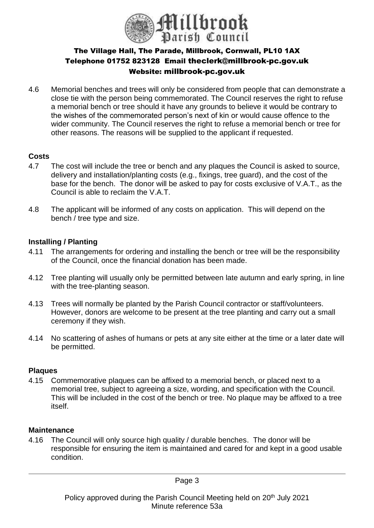

4.6 Memorial benches and trees will only be considered from people that can demonstrate a close tie with the person being commemorated. The Council reserves the right to refuse a memorial bench or tree should it have any grounds to believe it would be contrary to the wishes of the commemorated person's next of kin or would cause offence to the wider community. The Council reserves the right to refuse a memorial bench or tree for other reasons. The reasons will be supplied to the applicant if requested.

### **Costs**

- 4.7 The cost will include the tree or bench and any plaques the Council is asked to source, delivery and installation/planting costs (e.g., fixings, tree guard), and the cost of the base for the bench. The donor will be asked to pay for costs exclusive of V.A.T., as the Council is able to reclaim the V.A.T.
- 4.8 The applicant will be informed of any costs on application. This will depend on the bench / tree type and size.

### **Installing / Planting**

- 4.11 The arrangements for ordering and installing the bench or tree will be the responsibility of the Council, once the financial donation has been made.
- 4.12 Tree planting will usually only be permitted between late autumn and early spring, in line with the tree-planting season.
- 4.13 Trees will normally be planted by the Parish Council contractor or staff/volunteers. However, donors are welcome to be present at the tree planting and carry out a small ceremony if they wish.
- 4.14 No scattering of ashes of humans or pets at any site either at the time or a later date will be permitted.

## **Plaques**

4.15 Commemorative plaques can be affixed to a memorial bench, or placed next to a memorial tree, subject to agreeing a size, wording, and specification with the Council. This will be included in the cost of the bench or tree. No plaque may be affixed to a tree itself.

#### **Maintenance**

4.16 The Council will only source high quality / durable benches. The donor will be responsible for ensuring the item is maintained and cared for and kept in a good usable condition.